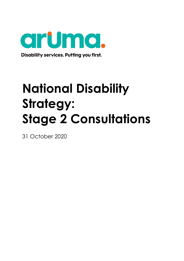

Disability services. Putting you first.

# **National Disability Strategy: Stage 2 Consultations**

31 October 2020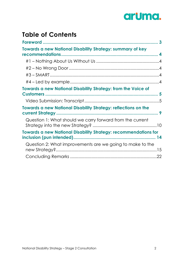

# **Table of Contents**

| <b>Towards a new National Disability Strategy: summary of key</b>      |  |
|------------------------------------------------------------------------|--|
|                                                                        |  |
|                                                                        |  |
|                                                                        |  |
|                                                                        |  |
|                                                                        |  |
| <b>Towards a new National Disability Strategy: from the Voice of</b>   |  |
|                                                                        |  |
|                                                                        |  |
| <b>Towards a new National Disability Strategy: reflections on the</b>  |  |
| Question 1: What should we carry forward from the current              |  |
| <b>Towards a new National Disability Strategy: recommendations for</b> |  |
| Question 2: What improvements are we going to make to the              |  |
|                                                                        |  |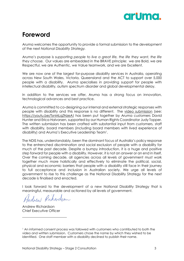

# <span id="page-2-0"></span>**Foreword**

Aruma welcomes the opportunity to provide a formal submission to the development of the next *National Disability Strategy.*

Aruma's purpose is *supporting people to live a great life, the life they want, the life they choose.* Our values are embedded in the BRAVE principle: we are Bold, we are Respectful, we are Authentic, we Value teamwork, and we are Excellent.

We are now one of the largest for-purpose disability services in Australia, operating across New South Wales, Victoria, Queensland and the ACT to support over 5,000 people with a disability. Aruma specialises in providing support for people with intellectual disability, autism spectrum disorder and global developmental delay.

In addition to the services we offer, Aruma has a strong focus on innovation, technological advances and best practice.

Aruma is committed to co-designing our internal and external strategic responses with people with disability and this response is no different. The [video submission](https://youtu.be/TsnMLqZNzeA) (see: [https://youtu.be/TsnMLqZNzeA\)](https://youtu.be/TsnMLqZNzeA) has been put together by Aruma customers David Hunter and Erica Halvorsen, supported by our Human Rights Coordinator Judy Topper. The written submission has been crafted with substantial input from customers, staff with disability, board members (including board members with lived experience of disability) and Aruma's Executive Leadership Team<sup>1</sup> .

The NDIS has, understandably, been the dominant focus of Australia's policy response to the entrenched discrimination and social exclusion of people with a disability for much of the past decade. Despite a bumpy introduction, it is a huge and positive step forward for people with a disability. However, it is not an answer or an end in itself. Over the coming decade, all agencies across all levels of government must work together much more holistically and effectively to eliminate the political, social, physical and economic barriers that people with a disability still face in their journey to full acceptance and inclusion in Australian society. We urge all levels of government to rise to this challenge as the National Disability Strategy for the next decade is finalised and enacted.

I look forward to the development of a new National Disability Strategy that is meaningful, measurable and actioned by all levels of government.

Andrew Ruhardson

Andrew Richardson Chief Executive Officer

<sup>1</sup> An informed consent process was followed with customers who contributed to both the video and written submission. Customers chose the name by which they wished to be identified. One staff member with a disability declined to publish their name.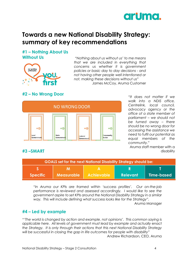

# <span id="page-3-0"></span>**Towards a new National Disability Strategy: summary of key recommendations**

# <span id="page-3-1"></span>**#1 – Nothing About Us Without Us**



*"Nothing about us without us' to me means that we are included in everything that concerns us whether it is government policies or basic day to day decisions - and not having other people well intentioned or not, making these decisions without us"* James McCoy, Aruma Customer

# <span id="page-3-2"></span>**#2 – No Wrong Door**

<span id="page-3-3"></span>**#3 –SMART**



*"It does not matter if we walk into a NDIS office, Centrelink, local council, advocacy agency or the office of a state member of parliament – we should not be turned away – there should be no wrong door for accessing the assistance we need to fulfil our potential as equal members of the community."*

Aruma staff member with a disability

| <b>GOALS set for the next National Disability Strategy should be:</b> |                   |                   |                 |              |  |  |
|-----------------------------------------------------------------------|-------------------|-------------------|-----------------|--------------|--|--|
|                                                                       |                   |                   |                 |              |  |  |
| Specific                                                              | <b>Measurable</b> | <b>Achievable</b> | <b>Relevant</b> | I Time-based |  |  |

*"In Aruma our KPIs are framed within 'success profiles'. Our on-the-job performance is reviewed and assessed accordingly. I would like to see the government aspire to set KPIs around the National Disability Strategy in a similar way. This will include defining what success looks like for the Strategy".*

Aruma Manager

### <span id="page-3-4"></span>**#4 – Led by example**

*"'The world is changed by action and example, not opinions'. This common saying is applicable here. All levels of government must lead by example and actually* enact *the Strategy. It is only through their actions that this next National Disability Strategy will be successful in closing the gap in life outcomes for people with disability"* 

Andrew Richardson, CEO, Aruma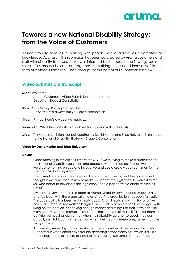

# <span id="page-4-0"></span>**Towards a new National Disability Strategy: from the Voice of Customers**

Aruma strongly believes in working with people with disabilities as co-creators of knowledge. As a result, this submission has been co-created by Aruma customers and staff with disability to ensure that it was informed by the people the Strategy seeks to serve. Customers chose to put together "something unique and innovative" in the form of a video submission. The transcript for this part of our submission is below.

### <span id="page-4-1"></span>**Video Submission: Transcript**

- **Slide:** Welcome. Aruma Customer's Video Submission to the National Disability – Stage 2 Consultation
- **Slide:** Our Guiding Philosophy: You First. At Aruma, we always put you, our customers, first.
- **Slide:** First up, here's a video we made …
- **Video clip:** What the world should look like for a person with a disability
- **Slide:** This video submission was put together by David Hunter and Erica Halverson in response to the National Disability Strategy – Stage 2 Consultation

#### **Video by David Hunter and Erica Halverson:**

#### **David:**

Good morning in this difficult time with COVID we're trying to make a submission for the National Disability Legislation and because we can't see our friends, we thought we'd do something unique and innovative and could use a video submission for the National Disability Legislation.

The current legislation's been around for a number of years, and the government thought it was time for a review to make us update the legislation, to make it fairer. So, who better to talk about the legislation, than a person with a disability such as myself.

My name's David Hunter. I've been at Aruma Disability Services since August 2011, and I've been with the organisation ever since. The organisation has been fantastic. The accessibility has been really, really good. And... I really enjoy it…. But also I've notice a number of my work colleagues and … often people disabilities struggle with living on the pension, not having enough money and things like that. If we can find ways on how we can maybe increase the, their pension or make it fairer for them to get into high-paying jobs so that when their disability gets not so good, they can actually get, fall back on the pension when their health deteriorates, rather than the two year wait.

Accessibility issues. My support worker has said a number of the people that she's supported in wheelchairs have trouble accessing eftpos machines, which is a useful technology to make it more accessible for shopping. But some of those eftpos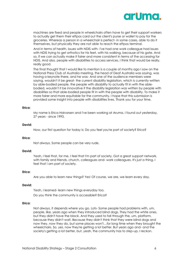

machines are fixed and people in wheelchairs often have to get their support workers to actually get them their eftpos card out the client's purse or wallet to pay for the groceries. Whereas a person in a wheelchair is perfect- in some cases, able to do it themselves, but physically they are not able to reach the eftpos terminal.

And in terms of health, issues with NDIS with- I've had one work colleague had issues with NDIS trying to get orthotics for his feet, with his walking, because of his gate. And so, if we can actually make it fairer and more consistent in terms of the accessing for NDIS. And also, people with disabilities to access services, I think that would be really, really good.

The final thought that I would like to mention is a couple of months ago I saw on the National Press Club of Australia meeting, the head of Deaf Australia was saying, was having a keynote there, and he was- And one of the audience members were saying, wouldn't it be great- the current disability legislation, which is currently written by able-bodied people, the people with disability to actually fit in with the ablebodied, wouldn't it be innovative if the disability legislation was written by people with disabilities so that able-bodied people fit in with the people with disability. To make it more fairer and more equitable for the community. I hope that this submission is provided some insight into people with disabilities lives. Thank you for your time.

#### **Erica:**

My name is Erica Halvorsen and I've been working at Aruma, I found out yesterday, 27 years - since 1993.

#### **David:**

Now, our first question for today is: Do you feel you're part of society? Erica?

#### **Erica:**

Not always. Some people can be very rude.

#### **David:**

Yeah, I feel that, for me, I feel that I'm part of society. Got a great support network, with family and friends, church, colleagues and- work colleagues. It's just a thing, I feel that I am part of society.

#### **Erica:**

Are you able to learn new things? Yes! Of course, we are, we learn every day.

#### **David:**

Yeah, I learned- learn new things everyday too.

Do you think the community is accessible? Erica?

#### **Erica:**

Not always, it depends where you go. Lots- Some people had problems with, um, people, like, years ago when they introduced blind dogs. They had the white ones, but they didn't have the black. And they used to fall through the, um, platform, because they didn't wait. Because they didn't think that they were blind dogs and now they, now they do, but some places won't…for long time when they brought the wheelchairs. So, yes, now they're getting a lot better. But years ago and- and the society's getting a lot better, but, yeah, the community has to step-up, I reckon.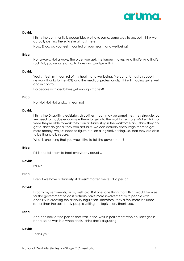

#### **David:**

I think the community is accessible. We have some, some way to go, but I think we actually getting there. We're almost there.

Now, Erica, do you feel in control of your health and wellbeing?

#### **Erica:**

Not always. Not always. The older you get, the longer it takes. And that's- And that's sad. But, you've just got to, to bare and grudge with it.

#### **David:**

Yeah, I feel I'm in control of my health and wellbeing. I've got a fantastic support network thanks to the NDIS and the medical professionals. I think I'm doing quite well and in control.

Do people with disabilities get enough money?

#### **Erica:**

No! No! No! No! and… I mean no!

#### **David:**

I think the Disability's legislator, disabilities… can may be sometimes they struggle, but we need to maybe encourage them to get into the workforce more. Make it fair, so while they're able to work they can actually stay in the workforce. So, I think they do get a, they do get a, they can actually- we can actually encourage them to get more money, we just need to figure out, on a legislative thing. So, that they are able to be financially secure.

What is one thing that you would like to tell the government?

#### **Erica:**

I'd like to tell them to treat everybody equally.

#### **David:**

I'd like-

#### **Erica:**

Even if we have a disability, it doesn't matter, we're still a person.

#### **David:**

Exactly my sentiments, Erica, well said. But one, one thing that I think would be wise for the government to do is actually have more involvement with people with disability in creating the disability legislation. Therefore, they'd feel more included, rather than the able body people writing the legislation. Thank you.

#### **Erica:**

And also look at the person that was in the, was in parliament who couldn't get in because he was in a wheelchair. I think that's disgusting.

#### **David:**

Thank you.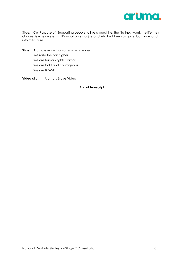

**Slide:** Our Purpose of 'Supporting people to live a great life, the life they want, the life they choose' is whey we exist. It's what brings us joy and what will keep us going both now and into the future.

- **Slide:** Aruma is more than a service provider. We raise the bar higher. We are human rights warriors. We are bold and courageous. We are BRAVE.
- **Video clip:** Aruma's Brave Video

#### **End of Transcript**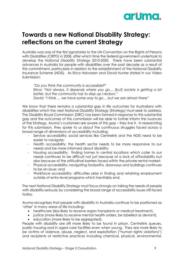

# <span id="page-8-0"></span>**Towards a new National Disability Strategy: reflections on the current Strategy**

Australia was one of the first signatories to the UN Convention on the Rights of Persons with Disabilities (CRPD) in 2008, after which time the federal government undertook to develop the *National Disability Strategy 2010-2020.* There have been substantial advances in Australia for people with disabilities over the past decade as a result of this commitment, particularly in relation to the establishment of the National Disability Insurance Scheme (NDIS). As Erica Halvorsen and David Hunter stated in our Video Submission:

*"Do you think the community is accessible?"* Erica: *"Not always, it depends where you go… [but] society is getting a lot better, but the community has to step up I reckon."* David: *"I think … we have some way to go… but we are almost there"*

We know that there remains a substantial gap in life outcomes for Australians with disabilities which the next National Disability Strategy (Strategy) must seek to address. The Disability Royal Commission (DRC) has been formed in response to this substantial gap and the outcomes of this commission will be able to further inform the nuances of the Strategy. Aruma's customers are aware of this gap – they live it. In researching for this submission, they spoke to us about the continuous struggles faced across a broad range of dimensions of accessibility including:

- Service accessibility: social services like Centrelink and the NDIS need to be easier to navigate;
- Health accessibility: the health sector needs to be more responsive to our needs and be more informed about disability;
- Housing accessibility: finding homes in central locations which cater to our needs continues to be difficult not just because of a lack of affordability but also because of the attitudinal barriers faced within the private rental market;
- Physical accessibility: navigating footpaths, doorways and buildings continues to be an issue; and
- Workforce accessibility: difficulties arise in finding and retaining employment outside of entry-level programs which inevitably end.

The next National Disability Strategy must focus strongly on taking the needs of people with disability *seriously* by considering the broad range of accessibility issues still faced today.

Aruma recognises that people with disability in Australia continue to be positioned as 'other' in many areas of life including:

- healthcare (less likely to receive organ transplants or medical treatment),
- justice (more likely to receive mental health orders, be labelled as deviant),
- education (more likely to be segregated).

People with disability are still more likely to be found in prison, Centrelink queues, public housing and in aged care facilities even when young. They are more likely to be victims of violence, abuse, neglect, and exploitation ("human rights violations") and recipients of restrictive practices including chemical, physical, environmental,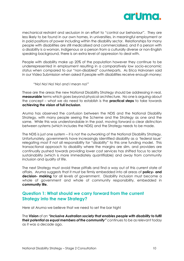

mechanical restraint and seclusion in an effort to "control our behaviour". They are less likely to be found in our own homes, in universities, in meaningful employment or in paid positions of power including within the disability sector. Relationships for many people with disabilities are still medicalised and commercialised, and if a person with a disability is a woman, Indigenous or a person from a culturally diverse or non-English speaking background, there is an extra level of oppression to deal with.

People with disability make up 20% of the population however they continue to be underrepresented in employment resulting in a comparatively low socio-economic status when compared to our "non-disabled" counterparts. As Erica Halvorsen said in our Video Submission when asked if people with disabilities receive enough money:

*"No! No! No! No! and I mean no!"*

These are the areas the new National Disability Strategy should be addressing in real, **measurable** terms which goes beyond physical architecture. No one is arguing about the concept – what we do need to establish is the **practical steps** to take towards **achieving the vision of full inclusion**.

Aruma has observed the confusion between the NDIS and the National Disability Strategy, with many people seeing the Scheme and the Strategy as one and the same. While this was understandable in the past, moving forward a clear distinction between systems (which includes the NDIS) and the Strategy needs to be made.

The NDIS is just one system – it is not the outworking of the National Disability Strategy. Unfortunately, governments have increasingly identified disability as a 'federal issue' relegating most if not all responsibility for "disability" to this one funding model. This transactional approach to disability where the margins are slim, and providers are continually pushed towards providing lower cost services has shifted focus to sector sustainability (which is more immediately quantifiable) and away from community inclusion and quality of life.

The next Strategy must avoid these pitfalls and find a way out of this current state of affairs. Aruma suggests that it must be firmly embedded into all areas of **policy- and decision- making** for all levels of government. Disability inclusion must become a whole of government and whole of community responsibility, embedded in **community life.**

### <span id="page-9-0"></span>**Question 1: What should we carry forward from the current Strategy into the new Strategy?**

Here at Aruma we believe that we need to set the bar high!

The **Vision** of *an "inclusive Australian society that enables people with disability to fulfil their potential as equal members of the community"* continues to be as relevant today as it was a decade ago.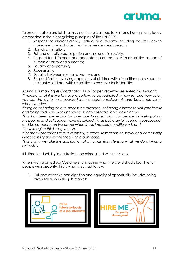

To ensure that we are fulfilling this vision there is a need for a strong human rights focus, embedded in the eight guiding principles of the UN CRPD:

- 1. Respect for inherent dignity, individual autonomy including the freedom to make one's own choices, and independence of persons;
- 2. Non-discrimination;
- 3. Full and effective participation and inclusion in society;
- 4. Respect for difference and acceptance of persons with disabilities as part of human diversity and humanity;
- 5. Equality of opportunity;
- 6. Accessibility;
- 7. Equality between men and women; and
- 8. Respect for the evolving capacities of children with disabilities and respect for the right of children with disabilities to preserve their identities.

Aruma's Human Rights Coordinator, Judy Topper, recently presented this thought: *"Imagine what it is like to have a curfew, to be restricted in how far and how often you can travel, to be prevented from accessing restaurants and bars because of where you live.* 

*"Imagine not being able to access a workplace, not being allowed to visit your family and being told how many people you can entertain in your own home.* 

*"This has been the reality for over one hundred days for people in Metropolitan Melbourne and colleagues have described this as being awful, feeling 'housebound' and being apprehensive about when these imposed conditions will end. "Now imagine this being your life.*

*"For many Australians with a disability, curfews, restrictions on travel and community inaccessibility are experienced on a daily basis.*

*"This is why we take the application of a human rights lens to what we do at Aruma seriously".*

It is time for disability in Australia to be reimagined within this lens.

When Aruma asked our Customers to imagine what the world should look like for people with disability, this is what they had to say:

1. Full and effective participation and equality of opportunity includes being taken seriously in the job market:

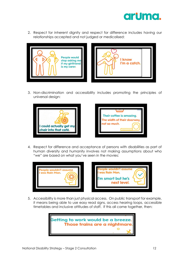

2. Respect for inherent dignity and respect for difference includes having our relationships accepted and not judged or medicalised:





3. Non-discrimination and accessibility includes promoting the principles of universal design:





4. Respect for difference and acceptance of persons with disabilities as part of human diversity and humanity involves not making assumptions about who "we" are based on what you've seen in the movies:



5. Accessibility is more than just physical access. On public transport for example, it means being able to use easy read signs, access hearing loops, accessible timetables and inclusive attitudes of staff. If this all came together, then:

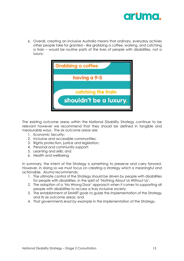

6. Overall, creating an inclusive Australia means that ordinary, everyday activies other people take for granted – like grabbing a coffee, working, and catching a train – would be routine parts of the lives of people with disabilities, not a luxury:



The existing outcome areas within the National Disability Strategy continue to be relevant however we recommend that they should be defined in tangible and measurable ways. The six outcome areas are:

- 1. Economic Security;
- 2. Inclusive and accessible communities;
- 3. Rights protection, justice and legislation;
- 4. Personal and community support;
- 5. Learning and skills; and
- 6. Health and wellbeing.

In summary, the intent of the Strategy is something to preserve and carry forward. However, in doing so we must focus on creating a strategy which is meaningful and actionable. Aruma recommends:

- 1. The ultimate control of the Strategy should be driven *by* people with disabilities for people with disabilities, in the spirit of 'Nothing About Us Without Us';
- 2. The adoption of a 'No Wrong Door' approach when it comes to supporting all people with disabilities to access a truly inclusive society;
- 3. The establishment of SMART goals to guide the implementation of the Strategy and its six outcome areas; and
- 4. That governments *lead by example* in the implementation of the Strategy.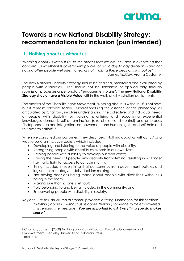

# <span id="page-13-0"></span>**Towards a new National Disability Strategy: recommendations for inclusion (pun intended)**

# **1. Nothing about us without us**

*"Nothing about us without us' to me means that we are included in everything that concerns us whether it is government policies or basic day to day decisions - and not having other people well intentioned or not, making these decisions without us"* James McCoy, Aruma Customer

The new National Disability Strategy should be finalised, monitored and evaluated by people with disabilities. This should not be tokenistic or applied only through submission processes or perfunctory "engagement plans". The **new National Disability Strategy should have a Visible Voice** within the walls of all Australian parliaments.

The mantra of the Disability Rights Movement, 'Nothing about us without us' is not new, but it remains relevant today. Operationalising the essence of this philosophy, as articulated by Charlton<sup>2</sup>, involves understanding the collective and individual needs of people with disability by valuing, prioritising and recognising experiential knowledge; demands self-determination (aka choice and control) and embraces "independence and integration, empowerment and human rights, and self-help and self-determination". 3

When we consulted our customers, they described 'Nothing about us without us' as a way to build an inclusive society which included:

- Developing and listening to the voice of people with disability;
- Recognising people with disability as experts in our own lives;
- Helping people with disability to develop our own voice;
- Having the needs of people with disability front-of-mind, resulting in no longer having to fight for access to our community;
- Being included in everything that concerns us from government policies and legislation to strategy to daily decision making;
- Not having decisions being made about people with disabilities without us being in the room;
- Making sure that no one is left out;
- Truly belonging to and being included in the community; and
- Empowering people with disability in society.

Raylene Griffiths, an Aruma customer, provided a fitting summation for this section: *"'Nothing about us without us' is about "helping someone to be empowered. [It is sending the message:] You are important to us! Everything you do makes sense."*

<sup>2</sup> Charlton, James I. (2000) Nothing about us without us: Disability Oppression and Empowerment. Berkeley: University of California Press. <sup>3</sup> Ibid, p.17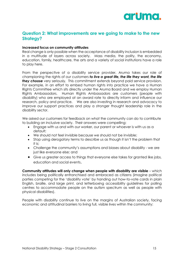

# <span id="page-14-0"></span>**Question 2: What improvements are we going to make to the new Strategy?**

#### **Increased focus on community attitudes**

Real change is only possible when the acceptance of disability inclusion is embedded in a multitude of layers across society. Mass media, the polity, the economy, education, family, healthcare, the arts and a variety of social institutions have a role to play here.

From the perspective of a disability service provider, Aruma takes our role of championing the rights of our customers *to live a great life, the life they want, the life they choose* very seriously*.* This commitment extends beyond paid service provision. For example, in an effort to embed human rights into practice we have a Human Rights Committee which sits directly under the Aruma Board and we employ Human Rights Ambassadors. Human Rights Ambassadors are customers (people with disability) who are employed at an award rate to directly inform and influence our research, policy and practice. We are also investing in research and advocacy to improve our support practices and play a stronger thought leadership role in the disability sector.

We asked our customers for feedback on what the community can do to contribute to building an inclusive society. Their answers were compelling:

- Engage with us and with our worker, our parent or whoever is with us as a default;
- We should not feel invisible because we should not be invisible;
- Stop using derogatory terms to describe us as though it isn't the problem that it is;
- Challenge the community's assumptions and biases about disability we are just like everyone else; and
- Give us greater access to things that everyone else takes for granted like jobs, education and social events.

**Community attitudes will only change when people with disability are visible** – which includes being politically enfranchised and embraced as citizens (imagine political parties competing for the 'disability vote' by handing out how-to-vote cards in plain English, braille, and large print, and letterboxing accessibility guidelines for polling centres to accommodate people on the autism spectrum as well as people with physical disabilities).

People with disability continue to live on the margins of Australian society, facing economic and attitudinal barriers to living full, visible lives within the community: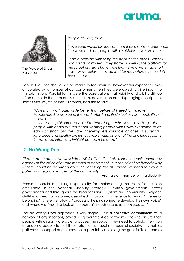



The Voice of Erica Halvorsen:

*People are very rude.*

*If everyone would just look up from their mobile phones once in a while and see people with disabilities … we are here.*

*I had a problem with using the steps on the buses. When I had splints on my legs, they started lowering the platform for me to get on. But I have short legs – I've always had short legs – why couldn't they do that for me before? I shouldn't have to ask.*

People like Erica should not be made to feel invisible, however this experience was articulated by a number of our customers when they were asked to give input into this submission. Parallel to this were the observations that visibility of disability still too often comes in the form of discrimination, devaluation and disparaging descriptions. James McCoy, an Aruma Customer, had this to say:

*"Community attitudes while better than before, still need to improve. People need to stop using the word retard and its derivatives as though it's not a problem.* 

*… there are [still] some people like Peter Singer who say nasty things about people with disability such as not treating people with Down Syndrome as an equal or [that] our lives are inherently less valuable or ones of suffering,.. Ignorance and apathy are just as problematic as a lot of the challenges come from… good intentions [which] can be misplaced"*

# **2. No Wrong Door**

*"It does not matter if we walk into a NDIS office, Centrelink, local council, advocacy agency or the office of a state member of parliament – we should not be turned away – there should be no wrong door for accessing the assistance we need to fulfil our potential as equal members of the community."*

Aruma staff member with a disability

Everyone should be taking responsibility for implementing the vision for inclusion articulated in the National Disability Strategy – within governments, across governments and throughout the broader service system and community. Raylene Griffiths, an Aruma customer, described inclusion at this level as fostering "a sense of belonging" where we follow a "process of helping someone develop their own voice" and where we "need to look at the person's needs and *take them seriously".*

The No Wrong Door approach is very simple – it is **a collective commitment** by a network of organisations, providers, government departments, etc - to ensure that, people with disability are able to access the support they need to uphold the vision of enabling people to fulfil their potential as equal members of society. It simplifies pathways to support and places the responsibility of closing the gaps in life outcomes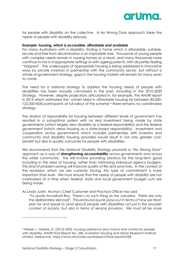

for people with disability on the collective. A No Wrong Door approach takes the needs of people with disability seriously.

#### **Example: housing, which is accessible, affordable and available**

For many Australians with a disability, finding a home which is affordable, suitable, secure and free from discrimination is an impossible task. Thousands of young people with complex needs remain in nursing homes as a result, and many thousands more continue to live in inappropriate settings or with ageing parents, with all parties feeling "trapped". The undersupply of appropriate housing is being addressed in innovative ways by private investors in partnership with the community sector, but without a whole-of-government strategy, gaps in the housing market will remain for many years to come.

The need for a national strategy to address the housing needs of people with disabilities has been broadly canvassed in the past, including in the 2010-2020 Strategy. However, despite projections articulated in, for example, the AHURI report in 2015 which estimated the 'unmet need in affordable housing for between 83,000- 122,000 NDIS participants at full rollout of the scheme' 4 there remains no coordinated strategy.

The division of responsibility for housing between different levels of government has resulted in a suboptimal system with no real investment being made by state governments (which largely view disability as a federal responsibility) and the federal government (which views housing as a state-based responsibility). Investment and cooperation across governments which includes partnerships with investors and community and disability housing providers would result in not only greater costbenefit but also in quality outcomes for people with disabilities.

We recommend that the National Disability Strategy promote a "No Wrong Door" approach as a way of **strengthening accountability** across governments and across the wider community. This will involve providing solutions for the long-term good including in the area of housing, rather than minimising individual agency budgets. This kind of problem solving will improve quality of life and save lives. In the context of the recession which we are currently facing, this type of commitment is more important than ever. We must ensure that the needs of people with disability are not overlooked at a time when federal, state and local government budget cuts are being made.

As Linda Justin, Aruma's Chief Customer and Practice Officer has said:

*"To quote Arundhati Roy, 'There's no such thing as the voiceless. There are only the deliberately silenced'. This profound quote plays out in terms of how we treat, plan for and speak to (and about) people with disabilities not just in the broader context of society, but also in terms of service provision. We must all be more* 

<sup>4</sup> Wiesel, I., Habibis, D. (2015) NDIS, housing assistance and choice and control for people with disability, AHURI Final Report No. 258, Australian Housing and Urban Research Institute Limited, Melbourne, https://www.ahuri.edu.au/research/final-reports/258.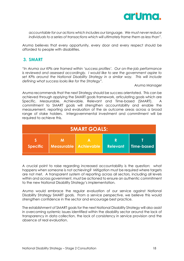

*accountable for our actions which includes our language. We must never reduce individuals to a series of transactions which will ultimately frame them as less than".* 

Aruma believes that every opportunity, every door and every respect should be afforded to people with disabilities.

# **3. SMART**

*"In Aruma our KPIs are framed within 'success profiles'. Our on-the-job performance is reviewed and assessed accordingly. I would like to see the government aspire to set KPIs around the National Disability Strategy in a similar way. This will include defining what success looks like for the Strategy".*

Aruma Manager

Aruma recommends that the next Strategy should be success orientated. This can be achieved through applying the SMART goals framework, articulating goals which are Specific, Measurable, Achievable, Relevant and Time-based (SMART). A commitment to SMART goals will strengthen accountability and enable the measurement, reporting and evaluation of the six outcome areas across a broad range of stake holders. Intergovernmental investment and commitment will be required to achieve this.

| <b>SMART GOALS:</b> |                                   |   |                      |                   |  |  |  |
|---------------------|-----------------------------------|---|----------------------|-------------------|--|--|--|
| <b>Specific</b>     | м<br><b>Measurable Achievable</b> | А | R<br><b>Relevant</b> | <b>Time-based</b> |  |  |  |

A crucial point to raise regarding increased accountability is the question: what happens when someone is not achieving? Mitigation must be required where targets are not met. A transparent system of reporting across all sectors, including all levels within and across government, must be actioned to ensure an authentic commitment to the new National Disability Strategy's implementation.

Aruma would embrace the regular evaluation of our service against National Disability Strategy SMART goals. From a service perspective, we believe this would strengthen confidence in the sector and encourage best practice.

The establishment of SMART goals for the next National Disability Strategy will also assist in overcoming systemic issues identified within the disability sector around the lack of transparency in data collection, the lack of consistency in service provision and the absence of real evaluation.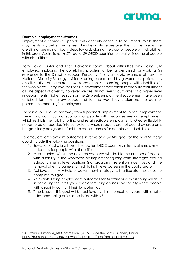

#### **Example: employment outcomes**

Employment outcomes for people with disability continue to be limited. While there may be slightly better awareness of inclusion strategies over the past ten years, we are still not seeing significant steps towards closing the gap for people with disabilities in this area. Australia ranks 27<sup>th</sup> out of 29 OECD countries for relative income of people with disabilities<sup>5</sup>.

Both David Hunter and Erica Halvorsen spoke about difficulties with being fully employed, including the correlating problem of being penalised for working (in reference to the Disability Support Pension). This is a classic example of how the National Disability Strategy's vision is being undermined by government policy. It is also illustrative of the current low expectations surrounding people with disabilities in the workplace. Entry level positions in government may prioritise disability recruitment as one aspect of diversity however we are still not seeing outcomes at a higher level in departments. Schemes such as the 26-week employment supplement have been criticised for their narrow scope and for the way they undermine the goal of permanent, meaningful employment.

There is also a lack of pathway from supported employment to 'open' employment. There is no continuum of supports for people with disabilities seeking employment which restricts their ability to find and retain suitable employment. Greater flexibility needs to be embedded into our systems where supports are not bound by programs but genuinely designed to facilitate real outcomes for people with disabilities.

To articulate employment outcomes in terms of a SMART goal for the next Strategy could include the following questions:

- 1. Specific: Australia will be in the top ten OECD countries in terms of employment outcomes for people with disabilities.
- 2. Measurable: Within the next ten years we will double the number of people with disability in the workforce by implementing long-term strategies around education, entry-level positions (not programs), retention incentives and the removal of entry barriers to mid- to high-level careers in the public sector.
- 3. Achievable: A whole-of-government strategy will articulate the steps to complete this goal.
- 4. Relevant: Lifting employment outcomes for Australians with disability will assist in achieving the Strategy's vision of creating an inclusive society where people with disability can fulfil their full potential.
- 5. Time-based: This goal will be achieved within the next ten years, with smaller milestones being articulated in line with #3.

<sup>5</sup> Australian Human Rights Commission. (2015). Face the Facts: Disability Rights, <https://humanrights.gov.au/our-work/education/face-facts-disability-rights>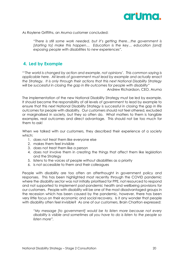

As Raylene Griffiths, an Aruma customer concluded:

"*There is still some work needed, but it's getting there…the government is [starting to] make this happen… Education is the key… education [and] exposing people with disabilities to new experiences".*

### **4. Led by Example**

*"'The world is changed by action and example, not opinions'. This common saying is applicable here. All levels of government must lead by example and actually* enact *the Strategy. It is only through their actions that this next National Disability Strategy will be successful in closing the gap in life outcomes for people with disability"* 

Andrew Richardson, CEO, Aruma

The implementation of the new National Disability Strategy must be led by example. It should become the responsibility of all levels of government to lead by example to ensure that this next National Disability Strategy is successful in closing the gap in life outcomes for people with disability. Our customers should not feel othered, excluded or marginalised in society, but they so often do. What matters to them is tangible examples, real outcomes and direct advantage. This should not be too much for them to ask!

When we talked with our customers, they described their experience of a society which:

- 1. does not treat them like everyone else
- 2. makes them feel invisible
- 3. does not treat them like a person
- 4. does not involve them in creating the things that affect them like legislation and the Strategy
- 5. listens to the voices of people *without* disabilities as a priority
- 6. is not accessible to them and their colleagues

People with disability are too often an afterthought in government policy and responses. This has been highlighted most recently through the COVID pandemic where the disability sector was not initially prioritised for PPE, not resourced to respond and not supported to implement post-pandemic health and wellbeing provisions for our customers. People with disability will be one of the most disadvantaged groups in the recession which has been caused by the pandemic, however, there has been very little focus on their economic and social recovery. Is it any wonder that people with disability often feel invisible? As one of our customers, Brain Charlton expressed:

*"My message [to government] would be to listen more because not every disability is visible and sometimes all you have to do is listen to the people so listen more".*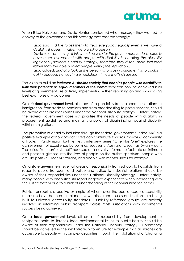

When Erica Halvorsen and David Hunter considered what message they wanted to convey to the government on this Strategy they reacted strongly:

Erica said: *I'd like to tell them to treat everybody equally even if we have a disability it doesn't matter, we are still a person.* 

David said: *one thing I think would be wise for the government to do is actually have more involvement with people with disability in creating the disability legislation [National Disability Strategy] therefore they'd feel more included rather than the able bodied people writing the legislation…*

Erica added: *and also look at the person who was in parliament who couldn't get in because he was in a wheelchair – I think that's disgusting!*

The vision to build an *inclusive Australian society that enables people with disability to fulfil their potential as equal members of the community* can only be achieved if all levels of government are actively implementing – then reporting on and showcasing best examples of – outcomes.

On a **federal government** level, all areas of responsibility from telecommunications to immigration, from trade to pensions and from broadcasting to postal services, should be aware of their responsibilities under the National Disability Strategy. Unfortunately, the federal government does not prioritise the needs of people with disability in procurement guidelines and maintains a policy of discrimination against disability within immigration.

The promotion of disability inclusion through the federal government funded ABC is a positive example of how broadcasters can contribute towards improving community attitudes. Paralympian Kurt Fernley's interview series "One Plus One" explores the achievement of excellence by our most successful Australians, such as Dylan Alcott. The series "You can't ask that" has used an innovative format to facilitate an intimate and personal glimpse into the lives of people on the autism spectrum, people who are HIV positive, Deaf Australians, and people with mental illness for example.

On a **state government** level, all areas of responsibility from schools to hospitals, from roads to public transport, and police and justice to industrial relations, should be aware of their responsibilities under the National Disability Strategy. Unfortunately, many people with disabilities still report negative experiences when interacting with the justice system due to a lack of understanding of their communication needs.

Public transport is a positive example of where over the past decade accessibility measures have been put in place. New trains, trams, buses and stations are being built to universal accessibility standards. Disability reference groups are actively involved in informing public transport across most jurisdictions with incremental success being achieved.

On a **local government** level, all areas of responsibility from development to footpaths, parks to libraries, local environmental issues to public health, should be aware of their responsibilities under the National Disability Strategy. Consistency should be achieved in the next Strategy to ensure for example that all libraries are accessible to people with complex disabilities through the installation of a ['changing](http://changingplaces.org.au/)